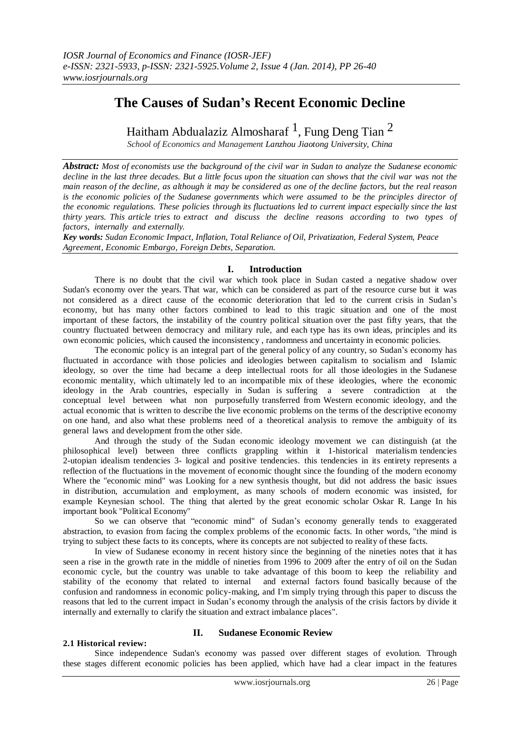# **The Causes of Sudan's Recent Economic Decline**

Haitham Abdualaziz Almosharaf  $^1$ , Fung Deng Tian  $^2$ 

*School of Economics and Management Lanzhou Jiaotong University, China*

*Abstract: Most of economists use the background of the civil war in Sudan to analyze the Sudanese economic* decline in the last three decades. But a little focus upon the situation can shows that the civil war was not the main reason of the decline, as although it may be considered as one of the decline factors, but the real reason *is the economic policies of the Sudanese governments which were assumed to be the principles director of the economic regulations. These policies through its fluctuations led to current impact especially since the last thirty years. This article tries to extract and discuss the decline reasons according to two types of factors, internally and externally.*

*Key words: Sudan Economic Impact, Inflation, Total Reliance of Oil, Privatization, Federal System, Peace Agreement, Economic Embargo, Foreign Debts, Separation.*

## **I. Introduction**

There is no doubt that the civil war which took place in Sudan casted a negative shadow over Sudan's economy over the years. That war, which can be considered as part of the resource curse but it was not considered as a direct cause of the economic deterioration that led to the current crisis in Sudan's economy, but has many other factors combined to lead to this tragic situation and one of the most important of these factors, the instability of the country political situation over the past fifty years, that the country fluctuated between democracy and military rule, and each type has its own ideas, principles and its own economic policies, which caused the inconsistency , randomness and uncertainty in economic policies.

The economic policy is an integral part of the general policy of any country, so Sudan's economy has fluctuated in accordance with those policies and ideologies between capitalism to socialism and Islamic ideology, so over the time had became a deep intellectual roots for all those ideologies in the Sudanese economic mentality, which ultimately led to an incompatible mix of these ideologies, where the economic ideology in the Arab countries, especially in Sudan is suffering a severe contradiction at the conceptual level between what non purposefully transferred from Western economic ideology, and the actual economic that is written to describe the live economic problems on the terms of the descriptive economy on one hand, and also what these problems need of a theoretical analysis to remove the ambiguity of its general laws and development from the other side.

And through the study of the Sudan economic ideology movement we can distinguish (at the philosophical level) between three conflicts grappling within it 1-historical materialism tendencies 2-utopian idealism tendencies 3- logical and positive tendencies. this tendencies in its entirety represents a reflection of the fluctuations in the movement of economic thought since the founding of the modern economy Where the "economic mind" was Looking for a new synthesis thought, but did not address the basic issues in distribution, accumulation and employment, as many schools of modern economic was insisted, for example Keynesian school. The thing that alerted by the great economic scholar Oskar R. Lange In his important book "Political Economy"

So we can observe that "economic mind" of Sudan's economy generally tends to exaggerated abstraction, to evasion from facing the complex problems of the economic facts. In other words, "the mind is trying to subject these facts to its concepts, where its concepts are not subjected to reality of these facts.

In view of Sudanese economy in recent history since the beginning of the nineties notes that it has seen a rise in the growth rate in the middle of nineties from 1996 to 2009 after the entry of oil on the Sudan economic cycle, but the country was unable to take advantage of this boom to keep the reliability and stability of the economy that related to internal and external factors found basically because of the confusion and randomness in economic policy-making, and I'm simply trying through this paper to discuss the reasons that led to the current impact in Sudan's economy through the analysis of the crisis factors by divide it internally and externally to clarify the situation and extract imbalance places".

#### **2.1 Historical review:**

# **II. Sudanese Economic Review**

Since independence Sudan's economy was passed over different stages of evolution. Through these stages different economic policies has been applied, which have had a clear impact in the features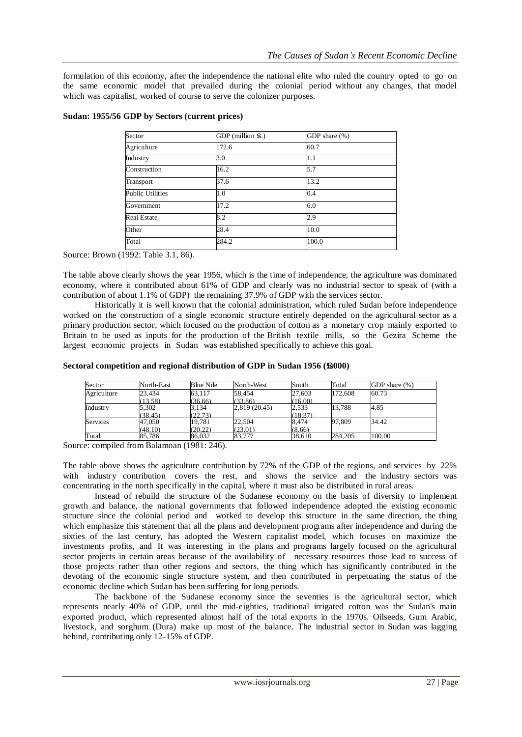formulation of this economy, after the independence the national elite who ruled the country opted to go on the same economic model that prevailed during the colonial period without any changes, that model which was capitalist, worked of course to serve the colonizer purposes.

| Sector                  | GDP (million £6.) | GDP share (%) |
|-------------------------|-------------------|---------------|
| Agriculture             | 172.6             | 60.7          |
| Industry                | 3.0               | 1.1           |
| Construction            | 16.2              | 5.7           |
| Transport               | 37.6              | 13.2          |
| <b>Public Utilities</b> | 1.0               | 0.4           |
| Government              | 17.2              | 6.0           |
| <b>Real Estate</b>      | 8.2               | 2.9           |
| Other                   | 28.4              | 10.0          |
| Total                   | 284.2             | 100.0         |

## **Sudan: 1955/56 GDP by Sectors (current prices)**

Source: Brown (1992: Table 3.1, 86).

The table above clearly shows the year 1956, which is the time of independence, the agriculture was dominated economy, where it contributed about 61% of GDP and clearly was no industrial sector to speak of (with a contribution of about 1.1% of GDP) the remaining 37.9% of GDP with the services sector.

Historically it is well known that the colonial administration, which ruled Sudan before independence worked on the construction of a single economic structure entirely depended on the agricultural sector as a primary production sector, which focused on the production of cotton as a monetary crop mainly exported to Britain to be used as inputs for the production of the British textile mills, so the Gezira Scheme the largest economic projects in Sudan was established specifically to achieve this goal.

| Sector      | North-East | <b>Blue Nile</b> | North-West    | South   | Total   | GDP share (%) |
|-------------|------------|------------------|---------------|---------|---------|---------------|
| Agriculture | 23.434     | 63.117           | 58,454        | 27.603  | 172,608 | 60.73         |
|             | (13.58)    | (36.66)          | (33.86)       | (16.00) |         |               |
| Industry    | 5,302      | 3,134            | 2,819 (20.45) | 2,533   | 13.788  | 4.85          |
|             | (38.45)    | (22.73)          |               | (18.37) |         |               |
| Services    | 47,050     | 19,781           | 22,504        | 8,474   | 97.809  | 34.42         |
|             | (48.10)    | (20.22)          | (23.01)       | (8.66)  |         |               |
| Total       | 85.786     | 86.032           | 83,777        | 38.610  | 284.205 | 100.00        |

#### **Sectoral competition and regional distribution of GDP in Sudan <sup>1956</sup> (£s000)**

Source: compiled from Balamoan (1981: 246).

The table above shows the agriculture contribution by 72% of the GDP of the regions, and services by 22% with industry contribution covers the rest, and shows the service and the industry sectors was concentrating in the north specifically in the capital, where it must also be distributed in rural areas.

Instead of rebuild the structure of the Sudanese economy on the basis of diversity to implement growth and balance, the national governments that followed independence adopted the existing economic structure since the colonial period and worked to develop this structure in the same direction, the thing which emphasize this statement that all the plans and development programs after independence and during the sixties of the last century, has adopted the Western capitalist model, which focuses on maximize the investments profits, and It was interesting in the plans and programs largely focused on the agricultural sector projects in certain areas because of the availability of necessary resources those lead to success of those projects rather than other regions and sectors, the thing which has significantly contributed in the devoting of the economic single structure system, and then contributed in perpetuating the status of the economic decline which Sudan has been suffering for long periods.

The backbone of the Sudanese economy since the seventies is the agricultural sector, which represents nearly 40% of GDP, until the mid-eighties, traditional irrigated cotton was the Sudan's main exported product, which represented almost half of the total exports in the 1970s. Oilseeds, Gum Arabic, livestock, and sorghum (Dura) make up most of the balance. The industrial sector in Sudan was lagging behind, contributing only 12-15% of GDP.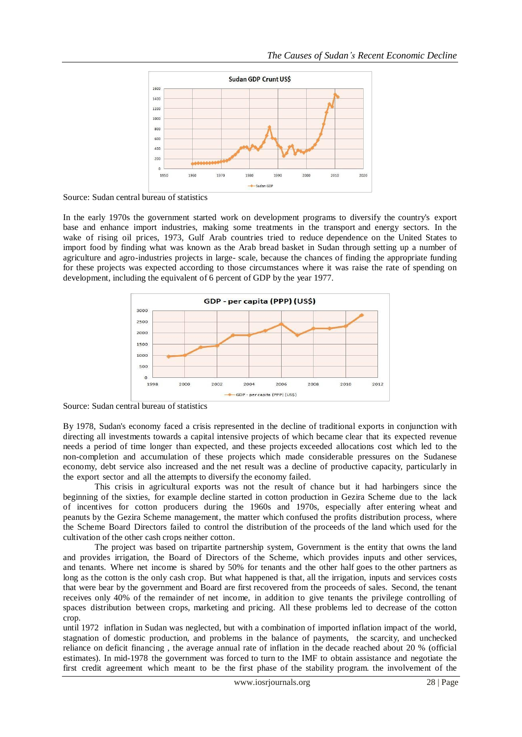

Source: Sudan central bureau of statistics

In the early 1970s the government started work on development programs to diversify the country's export base and enhance import industries, making some treatments in the transport and energy sectors. In the wake of rising oil prices, 1973, Gulf Arab countries tried to reduce dependence on the United States to import food by finding what was known as the Arab bread basket in Sudan through setting up a number of agriculture and agro-industries projects in large- scale, because the chances of finding the appropriate funding for these projects was expected according to those circumstances where it was raise the rate of spending on development, including the equivalent of 6 percent of GDP by the year 1977.



Source: Sudan central bureau of statistics

By 1978, Sudan's economy faced a crisis represented in the decline of traditional exports in conjunction with directing all investments towards a capital intensive projects of which became clear that its expected revenue needs a period of time longer than expected, and these projects exceeded allocations cost which led to the non-completion and accumulation of these projects which made considerable pressures on the Sudanese economy, debt service also increased and the net result was a decline of productive capacity, particularly in the export sector and all the attempts to diversify the economy failed.

This crisis in agricultural exports was not the result of chance but it had harbingers since the beginning of the sixties, for example decline started in cotton production in Gezira Scheme due to the lack of incentives for cotton producers during the 1960s and 1970s, especially after entering wheat and peanuts by the Gezira Scheme management, the matter which confused the profits distribution process, where the Scheme Board Directors failed to control the distribution of the proceeds of the land which used for the cultivation of the other cash crops neither cotton.

The project was based on tripartite partnership system, Government is the entity that owns the land and provides irrigation, the Board of Directors of the Scheme, which provides inputs and other services, and tenants. Where net income is shared by 50% for tenants and the other half goes to the other partners as long as the cotton is the only cash crop. But what happened is that, all the irrigation, inputs and services costs that were bear by the government and Board are first recovered from the proceeds of sales. Second, the tenant receives only 40% of the remainder of net income, in addition to give tenants the privilege controlling of spaces distribution between crops, marketing and pricing. All these problems led to decrease of the cotton crop.

until 1972 inflation in Sudan was neglected, but with a combination of imported inflation impact of the world, stagnation of domestic production, and problems in the balance of payments, the scarcity, and unchecked reliance on deficit financing , the average annual rate of inflation in the decade reached about 20 % (official estimates). In mid-1978 the government was forced to turn to the IMF to obtain assistance and negotiate the first credit agreement which meant to be the first phase of the stability program. the involvement of the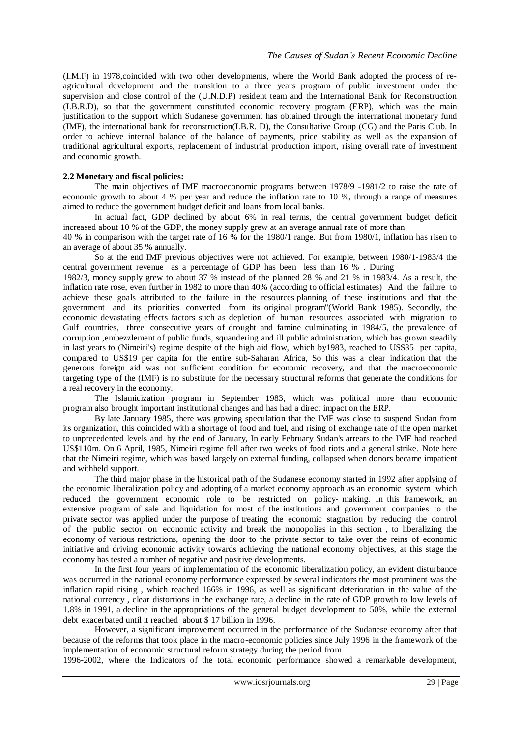(I.M.F) in 1978,coincided with two other developments, where the World Bank adopted the process of reagricultural development and the transition to a three years program of public investment under the supervision and close control of the (U.N.D.P) resident team and the International Bank for Reconstruction (I.B.R.D), so that the government constituted economic recovery program (ERP), which was the main justification to the support which Sudanese government has obtained through the international monetary fund (IMF), the international bank for reconstruction(I.B.R. D), the Consultative Group (CG) and the Paris Club. In order to achieve internal balance of the balance of payments, price stability as well as the expansion of traditional agricultural exports, replacement of industrial production import, rising overall rate of investment and economic growth.

#### **2.2 Monetary and fiscal policies:**

The main objectives of IMF macroeconomic programs between 1978/9 -1981/2 to raise the rate of economic growth to about 4 % per year and reduce the inflation rate to 10 %, through a range of measures aimed to reduce the government budget deficit and loans from local banks.

In actual fact, GDP declined by about 6% in real terms, the central government budget deficit increased about 10 % of the GDP, the money supply grew at an average annual rate of more than

40 % in comparison with the target rate of 16 % for the 1980/1 range. But from 1980/1, inflation has risen to an average of about 35 % annually.

So at the end IMF previous objectives were not achieved. For example, between 1980/1-1983/4 the central government revenue as a percentage of GDP has been less than 16 % . During

1982/3, money supply grew to about 37 % instead of the planned 28 % and 21 % in 1983/4. As a result, the inflation rate rose, even further in 1982 to more than 40% (according to official estimates) And the failure to achieve these goals attributed to the failure in the resources planning of these institutions and that the government and its priorities converted from its original program"(World Bank 1985). Secondly, the economic devastating effects factors such as depletion of human resources associated with migration to Gulf countries, three consecutive years of drought and famine culminating in 1984/5, the prevalence of corruption ,embezzlement of public funds, squandering and ill public administration, which has grown steadily in last years to (Nimeiri's) regime despite of the high aid flow, which by1983, reached to US\$35 per capita, compared to US\$19 per capita for the entire sub-Saharan Africa, So this was a clear indication that the generous foreign aid was not sufficient condition for economic recovery, and that the macroeconomic targeting type of the (IMF) is no substitute for the necessary structural reforms that generate the conditions for a real recovery in the economy.

The Islamicization program in September 1983, which was political more than economic program also brought important institutional changes and has had a direct impact on the ERP.

By late January 1985, there was growing speculation that the IMF was close to suspend Sudan from its organization, this coincided with a shortage of food and fuel, and rising of exchange rate of the open market to unprecedented levels and by the end of January, In early February Sudan's arrears to the IMF had reached US\$110m. On 6 April, 1985, Nimeiri regime fell after two weeks of food riots and a general strike. Note here that the Nimeiri regime, which was based largely on external funding, collapsed when donors became impatient and withheld support.

The third major phase in the historical path of the Sudanese economy started in 1992 after applying of the economic liberalization policy and adopting of a market economy approach as an economic system which reduced the government economic role to be restricted on policy- making. In this framework, an extensive program of sale and liquidation for most of the institutions and government companies to the private sector was applied under the purpose of treating the economic stagnation by reducing the control of the public sector on economic activity and break the monopolies in this section , to liberalizing the economy of various restrictions, opening the door to the private sector to take over the reins of economic initiative and driving economic activity towards achieving the national economy objectives, at this stage the economy has tested a number of negative and positive developments.

In the first four years of implementation of the economic liberalization policy, an evident disturbance was occurred in the national economy performance expressed by several indicators the most prominent was the inflation rapid rising , which reached 166% in 1996, as well as significant deterioration in the value of the national currency , clear distortions in the exchange rate, a decline in the rate of GDP growth to low levels of 1.8% in 1991, a decline in the appropriations of the general budget development to 50%, while the external debt exacerbated until it reached about \$ 17 billion in 1996.

However, a significant improvement occurred in the performance of the Sudanese economy after that because of the reforms that took place in the macro-economic policies since July 1996 in the framework of the implementation of economic structural reform strategy during the period from

1996-2002, where the Indicators of the total economic performance showed a remarkable development,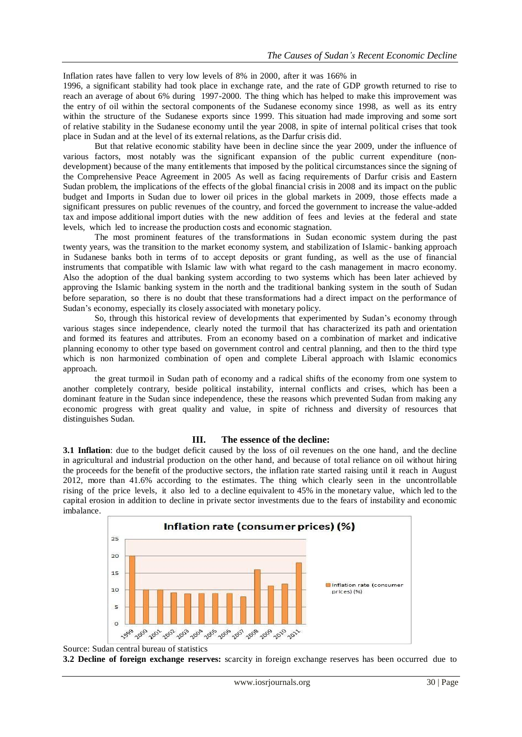Inflation rates have fallen to very low levels of 8% in 2000, after it was 166% in

1996, a significant stability had took place in exchange rate, and the rate of GDP growth returned to rise to reach an average of about 6% during 1997-2000. The thing which has helped to make this improvement was the entry of oil within the sectoral components of the Sudanese economy since 1998, as well as its entry within the structure of the Sudanese exports since 1999. This situation had made improving and some sort of relative stability in the Sudanese economy until the year 2008, in spite of internal political crises that took place in Sudan and at the level of its external relations, as the Darfur crisis did.

But that relative economic stability have been in decline since the year 2009, under the influence of various factors, most notably was the significant expansion of the public current expenditure (nondevelopment) because of the many entitlements that imposed by the political circumstances since the signing of the Comprehensive Peace Agreement in 2005 As well as facing requirements of Darfur crisis and Eastern Sudan problem, the implications of the effects of the global financial crisis in 2008 and its impact on the public budget and Imports in Sudan due to lower oil prices in the global markets in 2009, those effects made a significant pressures on public revenues of the country, and forced the government to increase the value-added tax and impose additional import duties with the new addition of fees and levies at the federal and state levels, which led to increase the production costs and economic stagnation.

The most prominent features of the transformations in Sudan economic system during the past twenty years, was the transition to the market economy system, and stabilization of Islamic- banking approach in Sudanese banks both in terms of to accept deposits or grant funding, as well as the use of financial instruments that compatible with Islamic law with what regard to the cash management in macro economy. Also the adoption of the dual banking system according to two systems which has been later achieved by approving the Islamic banking system in the north and the traditional banking system in the south of Sudan before separation, so there is no doubt that these transformations had a direct impact on the performance of Sudan's economy, especially its closely associated with monetary policy.

So, through this historical review of developments that experimented by Sudan's economy through various stages since independence, clearly noted the turmoil that has characterized its path and orientation and formed its features and attributes. From an economy based on a combination of market and indicative planning economy to other type based on government control and central planning, and then to the third type which is non harmonized combination of open and complete Liberal approach with Islamic economics approach.

the great turmoil in Sudan path of economy and a radical shifts of the economy from one system to another completely contrary, beside political instability, internal conflicts and crises, which has been a dominant feature in the Sudan since independence, these the reasons which prevented Sudan from making any economic progress with great quality and value, in spite of richness and diversity of resources that distinguishes Sudan.

#### **III. The essence of the decline:**

**3.1 Inflation**: due to the budget deficit caused by the loss of oil revenues on the one hand, and the decline in agricultural and industrial production on the other hand, and because of total reliance on oil without hiring the proceeds for the benefit of the productive sectors, the inflation rate started raising until it reach in August 2012, more than 41.6% according to the estimates. The thing which clearly seen in the uncontrollable rising of the price levels, it also led to a decline equivalent to 45% in the monetary value, which led to the capital erosion in addition to decline in private sector investments due to the fears of instability and economic imbalance.



Source: Sudan central bureau of statistics

**3.2 Decline of foreign exchange reserves:** scarcity in foreign exchange reserves has been occurred due to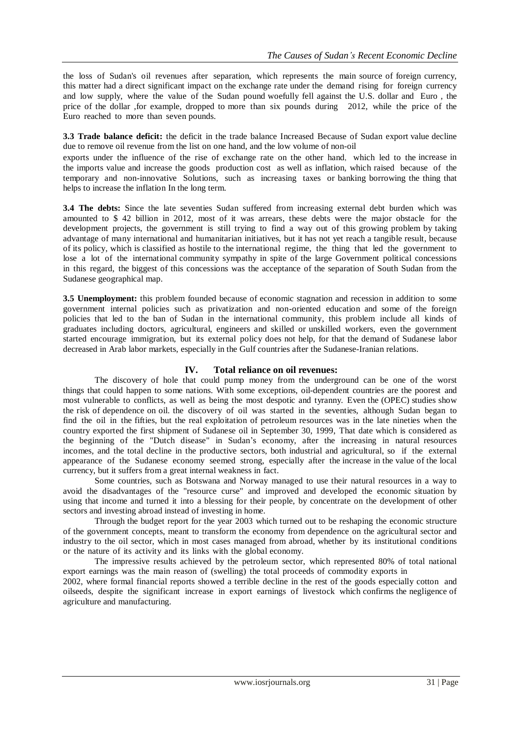the loss of Sudan's oil revenues after separation, which represents the main source of foreign currency, this matter had a direct significant impact on the exchange rate under the demand rising for foreign currency and low supply, where the value of the Sudan pound woefully fell against the U.S. dollar and Euro , the price of the dollar ,for example, dropped to more than six pounds during 2012, while the price of the Euro reached to more than seven pounds.

**3.3 Trade balance deficit:** the deficit in the trade balance Increased Because of Sudan export value decline due to remove oil revenue from the list on one hand, and the low volume of non-oil

exports under the influence of the rise of exchange rate on the other hand, which led to the increase in the imports value and increase the goods production cost as well as inflation, which raised because of the temporary and non-innovative Solutions, such as increasing taxes or banking borrowing the thing that helps to increase the inflation In the long term.

**3.4 The debts:** Since the late seventies Sudan suffered from increasing external debt burden which was amounted to \$ 42 billion in 2012, most of it was arrears, these debts were the major obstacle for the development projects, the government is still trying to find a way out of this growing problem by taking advantage of many international and humanitarian initiatives, but it has not yet reach a tangible result, because of its policy, which is classified as hostile to the international regime, the thing that led the government to lose a lot of the international community sympathy in spite of the large Government political concessions in this regard, the biggest of this concessions was the acceptance of the separation of South Sudan from the Sudanese geographical map.

**3.5 Unemployment:** this problem founded because of economic stagnation and recession in addition to some government internal policies such as privatization and non-oriented education and some of the foreign policies that led to the ban of Sudan in the international community, this problem include all kinds of graduates including doctors, agricultural, engineers and skilled or unskilled workers, even the government started encourage immigration, but its external policy does not help, for that the demand of Sudanese labor decreased in Arab labor markets, especially in the Gulf countries after the Sudanese-Iranian relations.

## **IV. Total reliance on oil revenues:**

The discovery of hole that could pump money from the underground can be one of the worst things that could happen to some nations. With some exceptions, oil-dependent countries are the poorest and most vulnerable to conflicts, as well as being the most despotic and tyranny. Even the (OPEC) studies show the risk of dependence on oil. the discovery of oil was started in the seventies, although Sudan began to find the oil in the fifties, but the real exploitation of petroleum resources was in the late nineties when the country exported the first shipment of Sudanese oil in September 30, 1999, That date which is considered as the beginning of the "Dutch disease" in Sudan's economy, after the increasing in natural resources incomes, and the total decline in the productive sectors, both industrial and agricultural, so if the external appearance of the Sudanese economy seemed strong, especially after the increase in the value of the local currency, but it suffers from a great internal weakness in fact.

Some countries, such as Botswana and Norway managed to use their natural resources in a way to avoid the disadvantages of the "resource curse" and improved and developed the economic situation by using that income and turned it into a blessing for their people, by concentrate on the development of other sectors and investing abroad instead of investing in home.

Through the budget report for the year 2003 which turned out to be reshaping the economic structure of the government concepts, meant to transform the economy from dependence on the agricultural sector and industry to the oil sector, which in most cases managed from abroad, whether by its institutional conditions or the nature of its activity and its links with the global economy.

The impressive results achieved by the petroleum sector, which represented 80% of total national export earnings was the main reason of (swelling) the total proceeds of commodity exports in

2002, where formal financial reports showed a terrible decline in the rest of the goods especially cotton and oilseeds, despite the significant increase in export earnings of livestock which confirms the negligence of agriculture and manufacturing.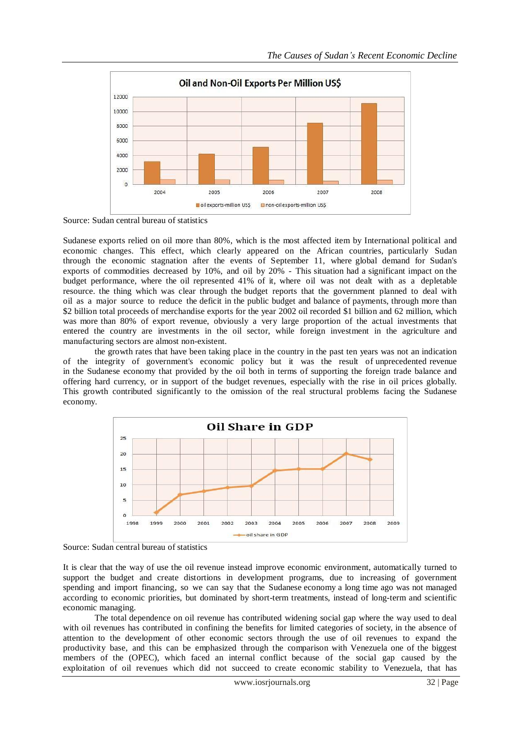

Source: Sudan central bureau of statistics

Sudanese exports relied on oil more than 80%, which is the most affected item by International political and economic changes. This effect, which clearly appeared on the African countries, particularly Sudan through the economic stagnation after the events of September 11, where global demand for Sudan's exports of commodities decreased by 10%, and oil by 20% - This situation had a significant impact on the budget performance, where the oil represented 41% of it, where oil was not dealt with as a depletable resource. the thing which was clear through the budget reports that the government planned to deal with oil as a major source to reduce the deficit in the public budget and balance of payments, through more than \$2 billion total proceeds of merchandise exports for the year 2002 oil recorded \$1 billion and 62 million, which was more than 80% of export revenue, obviously a very large proportion of the actual investments that entered the country are investments in the oil sector, while foreign investment in the agriculture and manufacturing sectors are almost non-existent.

the growth rates that have been taking place in the country in the past ten years was not an indication of the integrity of government's economic policy but it was the result of unprecedented revenue in the Sudanese economy that provided by the oil both in terms of supporting the foreign trade balance and offering hard currency, or in support of the budget revenues, especially with the rise in oil prices globally. This growth contributed significantly to the omission of the real structural problems facing the Sudanese economy.



Source: Sudan central bureau of statistics

It is clear that the way of use the oil revenue instead improve economic environment, automatically turned to support the budget and create distortions in development programs, due to increasing of government spending and import financing, so we can say that the Sudanese economy a long time ago was not managed according to economic priorities, but dominated by short-term treatments, instead of long-term and scientific economic managing.

The total dependence on oil revenue has contributed widening social gap where the way used to deal with oil revenues has contributed in confining the benefits for limited categories of society, in the absence of attention to the development of other economic sectors through the use of oil revenues to expand the productivity base, and this can be emphasized through the comparison with Venezuela one of the biggest members of the (OPEC), which faced an internal conflict because of the social gap caused by the exploitation of oil revenues which did not succeed to create economic stability to Venezuela, that has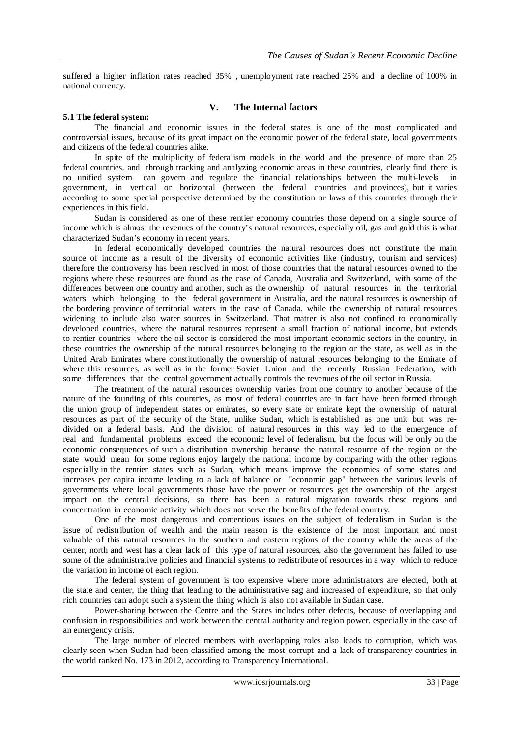suffered a higher inflation rates reached 35% , unemployment rate reached 25% and a decline of 100% in national currency.

#### **5.1 The federal system:**

## **V. The Internal factors**

The financial and economic issues in the federal states is one of the most complicated and controversial issues, because of its great impact on the economic power of the federal state, local governments and citizens of the federal countries alike.

In spite of the multiplicity of federalism models in the world and the presence of more than 25 federal countries, and through tracking and analyzing economic areas in these countries, clearly find there is no unified system can govern and regulate the financial relationships between the multi-levels in government, in vertical or horizontal (between the federal countries and provinces), but it varies according to some special perspective determined by the constitution or laws of this countries through their experiences in this field.

Sudan is considered as one of these rentier economy countries those depend on a single source of income which is almost the revenues of the country's natural resources, especially oil, gas and gold this is what characterized Sudan's economy in recent years.

In federal economically developed countries the natural resources does not constitute the main source of income as a result of the diversity of economic activities like (industry, tourism and services) therefore the controversy has been resolved in most of those countries that the natural resources owned to the regions where these resources are found as the case of Canada, Australia and Switzerland, with some of the differences between one country and another, such as the ownership of natural resources in the territorial waters which belonging to the federal government in Australia, and the natural resources is ownership of the bordering province of territorial waters in the case of Canada, while the ownership of natural resources widening to include also water sources in Switzerland. That matter is also not confined to economically developed countries, where the natural resources represent a small fraction of national income, but extends to rentier countries where the oil sector is considered the most important economic sectors in the country, in these countries the ownership of the natural resources belonging to the region or the state, as well as in the United Arab Emirates where constitutionally the ownership of natural resources belonging to the Emirate of where this resources, as well as in the former Soviet Union and the recently Russian Federation, with some differences that the central government actually controls the revenues of the oil sector in Russia.

The treatment of the natural resources ownership varies from one country to another because of the nature of the founding of this countries, as most of federal countries are in fact have been formed through the union group of independent states or emirates, so every state or emirate kept the ownership of natural resources as part of the security of the State, unlike Sudan, which is established as one unit but was redivided on a federal basis. And the division of natural resources in this way led to the emergence of real and fundamental problems exceed the economic level of federalism, but the focus will be only on the economic consequences of such a distribution ownership because the natural resource of the region or the state would mean for some regions enjoy largely the national income by comparing with the other regions especially in the rentier states such as Sudan, which means improve the economies of some states and increases per capita income leading to a lack of balance or "economic gap" between the various levels of governments where local governments those have the power or resources get the ownership of the largest impact on the central decisions, so there has been a natural migration towards these regions and concentration in economic activity which does not serve the benefits of the federal country.

One of the most dangerous and contentious issues on the subject of federalism in Sudan is the issue of redistribution of wealth and the main reason is the existence of the most important and most valuable of this natural resources in the southern and eastern regions of the country while the areas of the center, north and west has a clear lack of this type of natural resources, also the government has failed to use some of the administrative policies and financial systems to redistribute of resources in a way which to reduce the variation in income of each region.

The federal system of government is too expensive where more administrators are elected, both at the state and center, the thing that leading to the administrative sag and increased of expenditure, so that only rich countries can adopt such a system the thing which is also not available in Sudan case.

Power-sharing between the Centre and the States includes other defects, because of overlapping and confusion in responsibilities and work between the central authority and region power, especially in the case of an emergency crisis.

The large number of elected members with overlapping roles also leads to corruption, which was clearly seen when Sudan had been classified among the most corrupt and a lack of transparency countries in the world ranked No. 173 in 2012, according to Transparency International.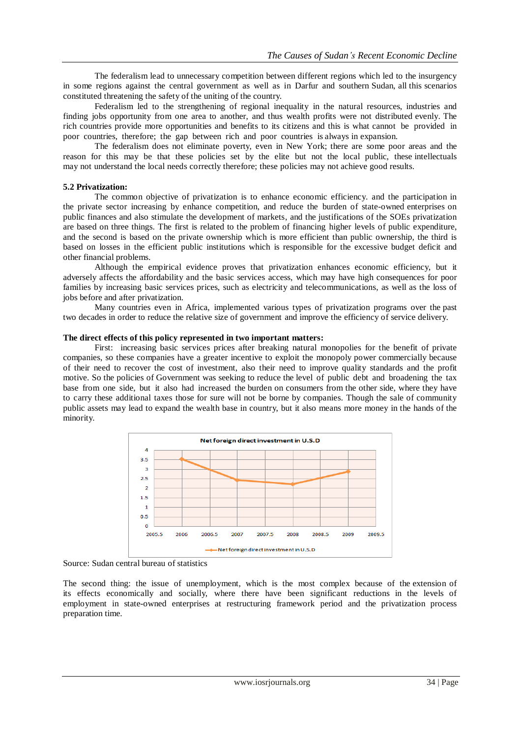The federalism lead to unnecessary competition between different regions which led to the insurgency in some regions against the central government as well as in Darfur and southern Sudan, all this scenarios constituted threatening the safety of the uniting of the country.

Federalism led to the strengthening of regional inequality in the natural resources, industries and finding jobs opportunity from one area to another, and thus wealth profits were not distributed evenly. The rich countries provide more opportunities and benefits to its citizens and this is what cannot be provided in poor countries, therefore; the gap between rich and poor countries is always in expansion.

The federalism does not eliminate poverty, even in New York; there are some poor areas and the reason for this may be that these policies set by the elite but not the local public, these intellectuals may not understand the local needs correctly therefore; these policies may not achieve good results.

## **5.2 Privatization:**

The common objective of privatization is to enhance economic efficiency. and the participation in the private sector increasing by enhance competition, and reduce the burden of state-owned enterprises on public finances and also stimulate the development of markets, and the justifications of the SOEs privatization are based on three things. The first is related to the problem of financing higher levels of public expenditure, and the second is based on the private ownership which is more efficient than public ownership, the third is based on losses in the efficient public institutions which is responsible for the excessive budget deficit and other financial problems.

Although the empirical evidence proves that privatization enhances economic efficiency, but it adversely affects the affordability and the basic services access, which may have high consequences for poor families by increasing basic services prices, such as electricity and telecommunications, as well as the loss of jobs before and after privatization.

Many countries even in Africa, implemented various types of privatization programs over the past two decades in order to reduce the relative size of government and improve the efficiency of service delivery.

#### **The direct effects of this policy represented in two important matters:**

First: increasing basic services prices after breaking natural monopolies for the benefit of private companies, so these companies have a greater incentive to exploit the monopoly power commercially because of their need to recover the cost of investment, also their need to improve quality standards and the profit motive. So the policies of Government was seeking to reduce the level of public debt and broadening the tax base from one side, but it also had increased the burden on consumers from the other side, where they have to carry these additional taxes those for sure will not be borne by companies. Though the sale of community public assets may lead to expand the wealth base in country, but it also means more money in the hands of the minority.



Source: Sudan central bureau of statistics

The second thing: the issue of unemployment, which is the most complex because of the extension of its effects economically and socially, where there have been significant reductions in the levels of employment in state-owned enterprises at restructuring framework period and the privatization process preparation time.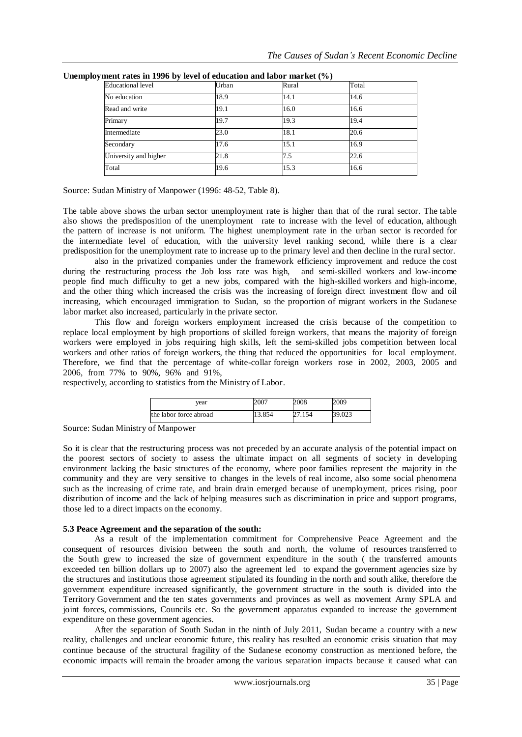| <b>Educational</b> level | Urban | Rural | Total |  |
|--------------------------|-------|-------|-------|--|
| No education             | 18.9  | 14.1  | 14.6  |  |
| Read and write           | 19.1  | 16.0  | 16.6  |  |
| Primary                  | 19.7  | 19.3  | 19.4  |  |
| Intermediate             | 23.0  | 18.1  | 20.6  |  |
| Secondary                | 17.6  | 15.1  | 16.9  |  |
| University and higher    | 21.8  | 7.5   | 22.6  |  |
| Total                    | 19.6  | 15.3  | 16.6  |  |

**Unemployment rates in 1996 by level of education and labor market (%)**

Source: Sudan Ministry of Manpower (1996: 48-52, Table 8).

The table above shows the urban sector unemployment rate is higher than that of the rural sector. The table also shows the predisposition of the unemployment rate to increase with the level of education, although the pattern of increase is not uniform. The highest unemployment rate in the urban sector is recorded for the intermediate level of education, with the university level ranking second, while there is a clear predisposition for the unemployment rate to increase up to the primary level and then decline in the rural sector.

also in the privatized companies under the framework efficiency improvement and reduce the cost during the restructuring process the Job loss rate was high, and semi-skilled workers and low-income people find much difficulty to get a new jobs, compared with the high-skilled workers and high-income, and the other thing which increased the crisis was the increasing of foreign direct investment flow and oil increasing, which encouraged immigration to Sudan, so the proportion of migrant workers in the Sudanese labor market also increased, particularly in the private sector.

This flow and foreign workers employment increased the crisis because of the competition to replace local employment by high proportions of skilled foreign workers, that means the majority of foreign workers were employed in jobs requiring high skills, left the semi-skilled jobs competition between local workers and other ratios of foreign workers, the thing that reduced the opportunities for local employment. Therefore, we find that the percentage of white-collar foreign workers rose in 2002, 2003, 2005 and 2006, from 77% to 90%, 96% and 91%,

respectively, according to statistics from the Ministry of Labor.

| vear                   | 2007   | 2008  | 2009   |
|------------------------|--------|-------|--------|
| the labor force abroad | 13.854 | 7.154 | 39.023 |

Source: Sudan Ministry of Manpower

So it is clear that the restructuring process was not preceded by an accurate analysis of the potential impact on the poorest sectors of society to assess the ultimate impact on all segments of society in developing environment lacking the basic structures of the economy, where poor families represent the majority in the community and they are very sensitive to changes in the levels of real income, also some social phenomena such as the increasing of crime rate, and brain drain emerged because of unemployment, prices rising, poor distribution of income and the lack of helping measures such as discrimination in price and support programs, those led to a direct impacts on the economy.

#### **5.3 Peace Agreement and the separation of the south:**

As a result of the implementation commitment for Comprehensive Peace Agreement and the consequent of resources division between the south and north, the volume of resources transferred to the South grew to increased the size of government expenditure in the south ( the transferred amounts exceeded ten billion dollars up to 2007) also the agreement led to expand the government agencies size by the structures and institutions those agreement stipulated its founding in the north and south alike, therefore the government expenditure increased significantly, the government structure in the south is divided into the Territory Government and the ten states governments and provinces as well as movement Army SPLA and joint forces, commissions, Councils etc. So the government apparatus expanded to increase the government expenditure on these government agencies.

After the separation of South Sudan in the ninth of July 2011, Sudan became a country with a new reality, challenges and unclear economic future, this reality has resulted an economic crisis situation that may continue because of the structural fragility of the Sudanese economy construction as mentioned before, the economic impacts will remain the broader among the various separation impacts because it caused what can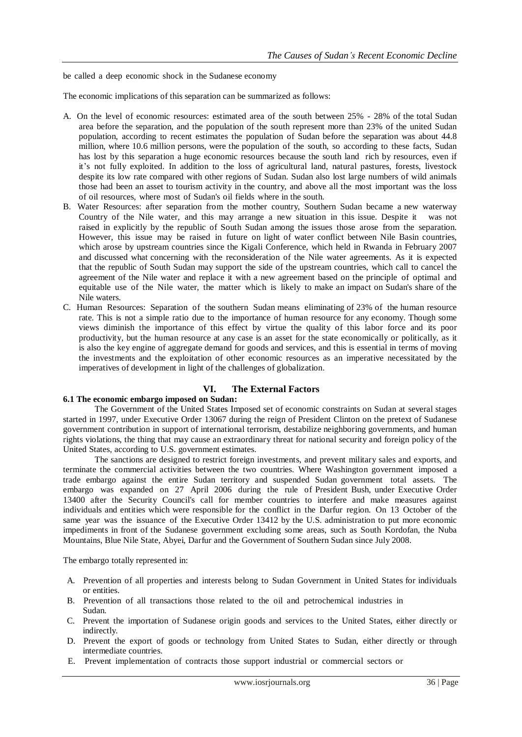be called a deep economic shock in the Sudanese economy

The economic implications of this separation can be summarized as follows:

- A. On the level of economic resources: estimated area of the south between 25% 28% of the total Sudan area before the separation, and the population of the south represent more than 23% of the united Sudan population, according to recent estimates the population of Sudan before the separation was about 44.8 million, where 10.6 million persons, were the population of the south, so according to these facts, Sudan has lost by this separation a huge economic resources because the south land rich by resources, even if it's not fully exploited. In addition to the loss of agricultural land, natural pastures, forests, livestock despite its low rate compared with other regions of Sudan. Sudan also lost large numbers of wild animals those had been an asset to tourism activity in the country, and above all the most important was the loss of oil resources, where most of Sudan's oil fields where in the south.
- B. Water Resources: after separation from the mother country, Southern Sudan became a new waterway Country of the Nile water, and this may arrange a new situation in this issue. Despite it was not raised in explicitly by the republic of South Sudan among the issues those arose from the separation. However, this issue may be raised in future on light of water conflict between Nile Basin countries, which arose by upstream countries since the Kigali Conference, which held in Rwanda in February 2007 and discussed what concerning with the reconsideration of the Nile water agreements. As it is expected that the republic of South Sudan may support the side of the upstream countries, which call to cancel the agreement of the Nile water and replace it with a new agreement based on the principle of optimal and equitable use of the Nile water, the matter which is likely to make an impact on Sudan's share of the Nile waters.
- C. Human Resources: Separation of the southern Sudan means eliminating of 23% of the human resource rate. This is not a simple ratio due to the importance of human resource for any economy. Though some views diminish the importance of this effect by virtue the quality of this labor force and its poor productivity, but the human resource at any case is an asset for the state economically or politically, as it is also the key engine of aggregate demand for goods and services, and this is essential in terms of moving the investments and the exploitation of other economic resources as an imperative necessitated by the imperatives of development in light of the challenges of globalization.

## **VI. The External Factors**

## **6.1 The economic embargo imposed on Sudan:**

The Government of the United States Imposed set of economic constraints on Sudan at several stages started in 1997, under Executive Order 13067 during the reign of President Clinton on the pretext of Sudanese government contribution in support of international terrorism, destabilize neighboring governments, and human rights violations, the thing that may cause an extraordinary threat for national security and foreign policy of the United States, according to U.S. government estimates.

The sanctions are designed to restrict foreign investments, and prevent military sales and exports, and terminate the commercial activities between the two countries. Where Washington government imposed a trade embargo against the entire Sudan territory and suspended Sudan government total assets. The embargo was expanded on 27 April 2006 during the rule of President Bush, under Executive Order 13400 after the Security Council's call for member countries to interfere and make measures against individuals and entities which were responsible for the conflict in the Darfur region. On 13 October of the same year was the issuance of the Executive Order 13412 by the U.S. administration to put more economic impediments in front of the Sudanese government excluding some areas, such as South Kordofan, the Nuba Mountains, Blue Nile State, Abyei, Darfur and the Government of Southern Sudan since July 2008.

The embargo totally represented in:

- A. Prevention of all properties and interests belong to Sudan Government in United States for individuals or entities.
- B. Prevention of all transactions those related to the oil and petrochemical industries in Sudan.
- C. Prevent the importation of Sudanese origin goods and services to the United States, either directly or indirectly.
- D. Prevent the export of goods or technology from United States to Sudan, either directly or through intermediate countries.
- E. Prevent implementation of contracts those support industrial or commercial sectors or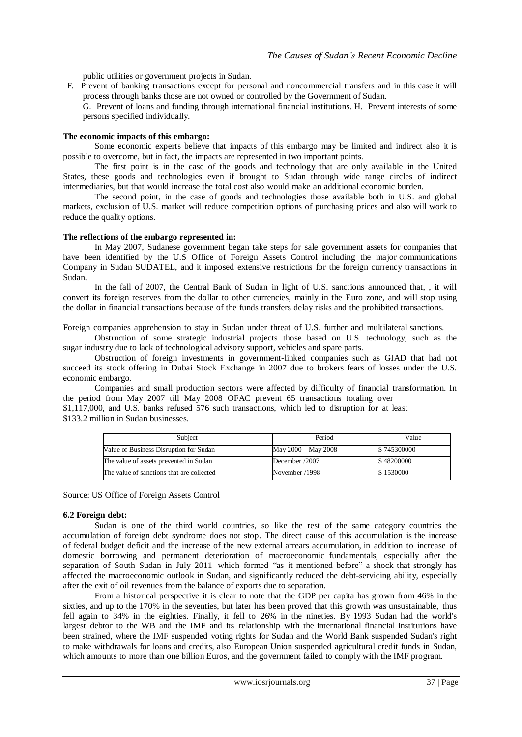public utilities or government projects in Sudan.

F. Prevent of banking transactions except for personal and noncommercial transfers and in this case it will process through banks those are not owned or controlled by the Government of Sudan.

G. Prevent of loans and funding through international financial institutions. H. Prevent interests of some persons specified individually.

#### **The economic impacts of this embargo:**

Some economic experts believe that impacts of this embargo may be limited and indirect also it is possible to overcome, but in fact, the impacts are represented in two important points.

The first point is in the case of the goods and technology that are only available in the United States, these goods and technologies even if brought to Sudan through wide range circles of indirect intermediaries, but that would increase the total cost also would make an additional economic burden.

The second point, in the case of goods and technologies those available both in U.S. and global markets, exclusion of U.S. market will reduce competition options of purchasing prices and also will work to reduce the quality options.

#### **The reflections of the embargo represented in:**

In May 2007, Sudanese government began take steps for sale government assets for companies that have been identified by the U.S Office of Foreign Assets Control including the major communications Company in Sudan SUDATEL, and it imposed extensive restrictions for the foreign currency transactions in Sudan.

In the fall of 2007, the Central Bank of Sudan in light of U.S. sanctions announced that, , it will convert its foreign reserves from the dollar to other currencies, mainly in the Euro zone, and will stop using the dollar in financial transactions because of the funds transfers delay risks and the prohibited transactions.

Foreign companies apprehension to stay in Sudan under threat of U.S. further and multilateral sanctions.

Obstruction of some strategic industrial projects those based on U.S. technology, such as the sugar industry due to lack of technological advisory support, vehicles and spare parts.

Obstruction of foreign investments in government-linked companies such as GIAD that had not succeed its stock offering in Dubai Stock Exchange in 2007 due to brokers fears of losses under the U.S. economic embargo.

Companies and small production sectors were affected by difficulty of financial transformation. In the period from May 2007 till May 2008 OFAC prevent 65 transactions totaling over

\$1,117,000, and U.S. banks refused 576 such transactions, which led to disruption for at least \$133.2 million in Sudan businesses.

| Subject                                   | Period              | Value       |
|-------------------------------------------|---------------------|-------------|
| Value of Business Disruption for Sudan    | May 2000 - May 2008 | \$745300000 |
| The value of assets prevented in Sudan    | December /2007      | \$48200000  |
| The value of sanctions that are collected | November /1998      | \$1530000   |

Source: US Office of Foreign Assets Control

#### **6.2 Foreign debt:**

Sudan is one of the third world countries, so like the rest of the same category countries the accumulation of foreign debt syndrome does not stop. The direct cause of this accumulation is the increase of federal budget deficit and the increase of the new external arrears accumulation, in addition to increase of domestic borrowing and permanent deterioration of macroeconomic fundamentals, especially after the separation of South Sudan in July 2011 which formed "as it mentioned before" a shock that strongly has affected the macroeconomic outlook in Sudan, and significantly reduced the debt-servicing ability, especially after the exit of oil revenues from the balance of exports due to separation.

From a historical perspective it is clear to note that the GDP per capita has grown from 46% in the sixties, and up to the 170% in the seventies, but later has been proved that this growth was unsustainable, thus fell again to 34% in the eighties. Finally, it fell to 26% in the nineties. By 1993 Sudan had the world's largest debtor to the WB and the IMF and its relationship with the international financial institutions have been strained, where the IMF suspended voting rights for Sudan and the World Bank suspended Sudan's right to make withdrawals for loans and credits, also European Union suspended agricultural credit funds in Sudan, which amounts to more than one billion Euros, and the government failed to comply with the IMF program.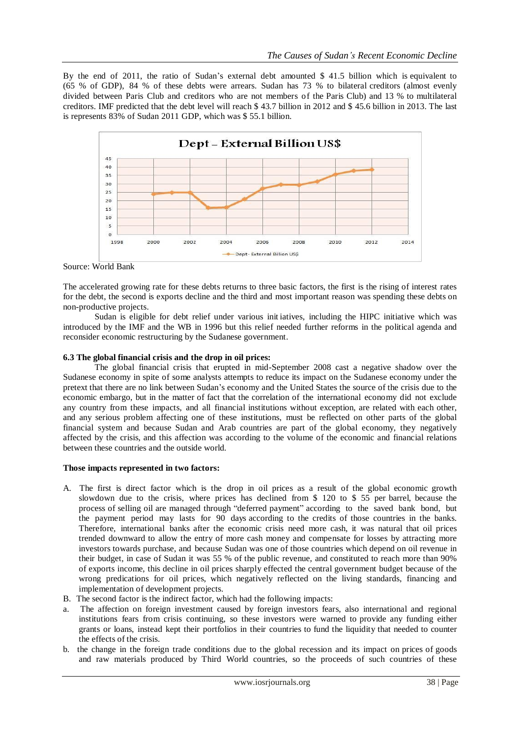By the end of 2011, the ratio of Sudan's external debt amounted \$ 41.5 billion which is equivalent to (65 % of GDP), 84 % of these debts were arrears. Sudan has 73 % to bilateral creditors (almost evenly divided between Paris Club and creditors who are not members of the Paris Club) and 13 % to multilateral creditors. IMF predicted that the debt level will reach \$ 43.7 billion in 2012 and \$ 45.6 billion in 2013. The last is represents 83% of Sudan 2011 GDP, which was \$ 55.1 billion.



Source: World Bank

The accelerated growing rate for these debts returns to three basic factors, the first is the rising of interest rates for the debt, the second is exports decline and the third and most important reason was spending these debts on non-productive projects.

Sudan is eligible for debt relief under various init iatives, including the HIPC initiative which was introduced by the IMF and the WB in 1996 but this relief needed further reforms in the political agenda and reconsider economic restructuring by the Sudanese government.

## **6.3 The global financial crisis and the drop in oil prices:**

The global financial crisis that erupted in mid-September 2008 cast a negative shadow over the Sudanese economy in spite of some analysts attempts to reduce its impact on the Sudanese economy under the pretext that there are no link between Sudan's economy and the United States the source of the crisis due to the economic embargo, but in the matter of fact that the correlation of the international economy did not exclude any country from these impacts, and all financial institutions without exception, are related with each other, and any serious problem affecting one of these institutions, must be reflected on other parts of the global financial system and because Sudan and Arab countries are part of the global economy, they negatively affected by the crisis, and this affection was according to the volume of the economic and financial relations between these countries and the outside world.

#### **Those impacts represented in two factors:**

- A. The first is direct factor which is the drop in oil prices as a result of the global economic growth slowdown due to the crisis, where prices has declined from \$ 120 to \$ 55 per barrel, because the process of selling oil are managed through "deferred payment" according to the saved bank bond, but the payment period may lasts for 90 days according to the credits of those countries in the banks. Therefore, international banks after the economic crisis need more cash, it was natural that oil prices trended downward to allow the entry of more cash money and compensate for losses by attracting more investors towards purchase, and because Sudan was one of those countries which depend on oil revenue in their budget, in case of Sudan it was 55 % of the public revenue, and constituted to reach more than 90% of exports income, this decline in oil prices sharply effected the central government budget because of the wrong predications for oil prices, which negatively reflected on the living standards, financing and implementation of development projects.
- B. The second factor is the indirect factor, which had the following impacts:
- The affection on foreign investment caused by foreign investors fears, also international and regional institutions fears from crisis continuing, so these investors were warned to provide any funding either grants or loans, instead kept their portfolios in their countries to fund the liquidity that needed to counter the effects of the crisis.
- b. the change in the foreign trade conditions due to the global recession and its impact on prices of goods and raw materials produced by Third World countries, so the proceeds of such countries of these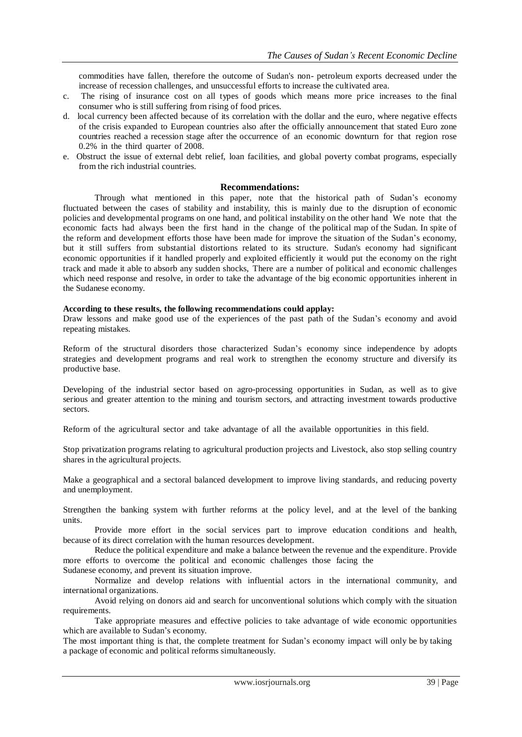commodities have fallen, therefore the outcome of Sudan's non- petroleum exports decreased under the increase of recession challenges, and unsuccessful efforts to increase the cultivated area.

- c. The rising of insurance cost on all types of goods which means more price increases to the final consumer who is still suffering from rising of food prices.
- d. local currency been affected because of its correlation with the dollar and the euro, where negative effects of the crisis expanded to European countries also after the officially announcement that stated Euro zone countries reached a recession stage after the occurrence of an economic downturn for that region rose 0.2% in the third quarter of 2008.
- e. Obstruct the issue of external debt relief, loan facilities, and global poverty combat programs, especially from the rich industrial countries.

#### **Recommendations:**

Through what mentioned in this paper, note that the historical path of Sudan's economy fluctuated between the cases of stability and instability, this is mainly due to the disruption of economic policies and developmental programs on one hand, and political instability on the other hand We note that the economic facts had always been the first hand in the change of the political map of the Sudan. In spite of the reform and development efforts those have been made for improve the situation of the Sudan's economy, but it still suffers from substantial distortions related to its structure. Sudan's economy had significant economic opportunities if it handled properly and exploited efficiently it would put the economy on the right track and made it able to absorb any sudden shocks, There are a number of political and economic challenges which need response and resolve, in order to take the advantage of the big economic opportunities inherent in the Sudanese economy.

#### **According to these results, the following recommendations could applay:**

Draw lessons and make good use of the experiences of the past path of the Sudan's economy and avoid repeating mistakes.

Reform of the structural disorders those characterized Sudan's economy since independence by adopts strategies and development programs and real work to strengthen the economy structure and diversify its productive base.

Developing of the industrial sector based on agro-processing opportunities in Sudan, as well as to give serious and greater attention to the mining and tourism sectors, and attracting investment towards productive sectors.

Reform of the agricultural sector and take advantage of all the available opportunities in this field.

Stop privatization programs relating to agricultural production projects and Livestock, also stop selling country shares in the agricultural projects.

Make a geographical and a sectoral balanced development to improve living standards, and reducing poverty and unemployment.

Strengthen the banking system with further reforms at the policy level, and at the level of the banking units.

Provide more effort in the social services part to improve education conditions and health, because of its direct correlation with the human resources development.

Reduce the political expenditure and make a balance between the revenue and the expenditure. Provide more efforts to overcome the political and economic challenges those facing the Sudanese economy, and prevent its situation improve.

Normalize and develop relations with influential actors in the international community, and international organizations.

Avoid relying on donors aid and search for unconventional solutions which comply with the situation requirements.

Take appropriate measures and effective policies to take advantage of wide economic opportunities which are available to Sudan's economy.

The most important thing is that, the complete treatment for Sudan's economy impact will only be by taking a package of economic and political reforms simultaneously.